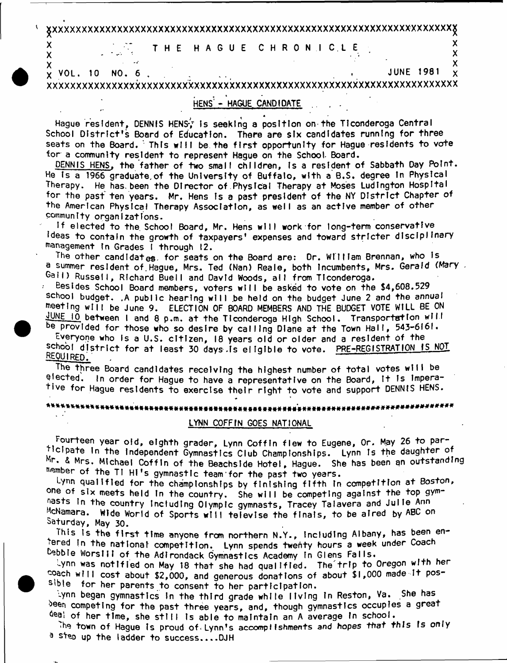$\begin{array}{ccc} X & \cdot & \cdot & \cdot & \cdot & \cdot & \cdot & \cdot & \cdot & \times \\ X & \cdot & \cdot & \cdot & \cdot & \cdot & \cdot & \cdot & \cdot & \cdot & \cdot & \cdot & \cdot & \cdot \end{array}$ **x •• ' . X**

<span id="page-0-0"></span>**x VOL. 10 [NO. 6 . . \\_ t JUNE 1981 x](#page-0-0)**

 $\overline{\mathsf{x}}$ 

**xxxxxxxxxxxxxxxxxxxxxxxxxxxxxxxxxxxxxxxxxxxxxxxxxxxxxxxxxxxxxxxxxxxxxx**

### HENS<sup>'</sup> - HAGUE CANDIDATE

Hague resident, DENNIS HENS; is seeking a position on the Ticonderoga Central School District's Board of Education. There are six candidates running for three seats on the Board. <sup>3</sup> This will be the first opportunity for Hague residents to vote for a community resident to represent Haque on the School. Board.

DENNIS HENS, the father of two small children, is a resident of Sabbath Day Point. He Is a 1966 graduate of the University of Buffalo, with a B.S. degree In Physical Therapy. He has been the Director of Physical Therapy at Moses Ludington Hospital for the past ten years. Mr. Hens is a past president of the NY District Chapter of the American Physical Therapy Association, as well as an active member of other community organizations.

If elected to the School Board, Mr. Hens will work for long-term conservative Ideas to contain the growth of taxpayers<sup>1</sup> expenses and toward stricter disciplinary management in Grades I through 12.<br>The other candidat<sub>es</sub>, for seats on the Board are: Dr. William Brennan, who is

a sumer candigates, for seats on the coard are; Dr. William premient, who is<br>A Summer recident of Uncue, Mas, Ted (Nas) Peals, both incumbants, Mas Corald ( <sup>a summ</sup>er resident of Hague, Mrs. Ted (Nan) Reale, both incumbents, Mrs. Gerald (Mary .<br>Collines

**Besides School Roard mombors** waters will be onlined to water on the  $\frac{1}{2}$   $\frac{1}{2}$   $\frac{1}{2}$  . School Board members, voters will be asked to vote on the \$4,608,529  $\frac{1}{2}$  budget. A public hearing will be held on the budget June 2 and the annual meeting will be June 9. ELECTION OF BOARD MEMBERS AND THE BUDGET VOTE WILL BE ON **be provided for these than a fine Ticonceroga High School. Transportation will** provided for fhose who so desire by calling Diane at the Town Hall, 543-6161.<br>Examines at the William State of Town Hall.

Everyone who is a U.S. citizen, 18 years old or older and a resident of the school district for at least 30 days is eligible to vote. PRE-REGISTRATION IS NOT<br>REQUIRED.

The three Board candidates receiving the highest number of total votes will be elected. In order for Haque to have a representative on the Board, It is Imperative for Hague residents to exercise their right to vote and support DENNIS HENS.

# \*\*\*\*\*\*\*\*\*\*\*\*\*\*\*\*\*\*\*\*\*\*»\*#»#\*####»##'########################\*##«\*###

#### LYNN COFFIN GOES NATIONAL

Fourteen year oid, eighth grader, Lynn Coffin flew to Eugene, Or. May 26 to par-Ticipate in the independent Gymnastics Club Championships. Lynn is the daughter of Mr. & Mrs. Michael Coffin of the Beachside Hotel, Hague. She has been an outstanding member of the TI HI's gymnastic team for the past two years.

Lynn qualified for the championships by finishing fifth in competition at Boston, one of six meets held in the country. She will be competing against the top gymmasts In the country including Olympic gymnasts, Tracey Talavera and Julie Ann McNamara. Wide World of Sports will televise the finals, to be aired by ABC on<br>Saturday, May 30.

This Is the first time anyone from northern N.Y., Including Albany, has been entered in the national competition. Lynn spends twenty hours a week under Coach Debble Worslil of the Adirondack Gymnastics Academy In Glens Falls.

Lynn was notified on May 18 that she had qualified. The trip to Oregon with her coach will cost about \$2,000, and generous donations of about \$1,000 made It possible for her parents to consent to her participation.

bynn began gymnastics in the third grade while living in Reston, Va. She has been competing for the past three years, and, though gymnastics occupies a great deal of her time, she still is able to maintain an A average in school.

The town of Hague Is proud of Lynn's accomplishments and hopes that this Is only a step up the ladder to success....DJH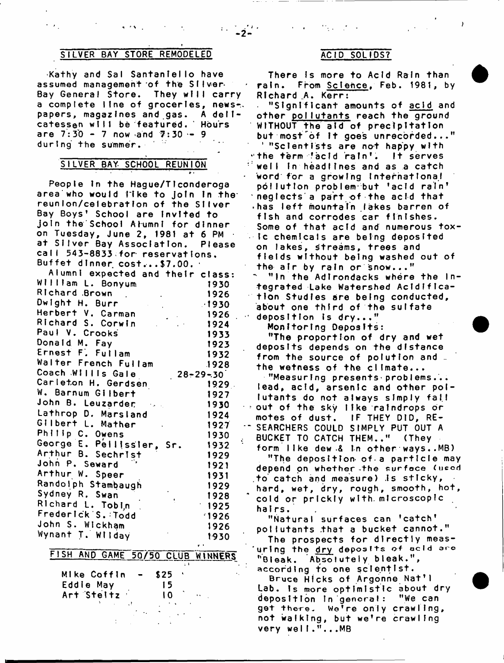#### SILVER BAY STORE REMODELED ACID SOLIDS?

\* J \*

Kathy and Sal Santaniello have assumed management of the Silver-Bay General Store. They will carry a complete line of groceries, news-. papers, magazines and gas. A delicatessen will be featured. Hours are  $7:30 - 7$  now and  $7:30 - 9$ during the summer.

# SILVER BAY SCHOOL REUNION

People in the Haque/Ticonderoga area who would iike to join in the reunlon/celebratlon of the Silver Bay Boys' School are invited to join the School Alumni for dinner on Tuesday, June 2, 1981 at 6 PM  $\cdot$ at Silver Bay Association. Please call 543-8833 for reservations. Buffet dinner  $cost_{\alpha}$ , \$7.00.  $\cdot$ 

| .<br>. .                         |                       |
|----------------------------------|-----------------------|
| Alumni expected and their class: |                       |
| William L. Bonyum                | 1930                  |
| Richard Brown.                   | 1926                  |
| Dwight H. Burr                   | 1930                  |
| Herbert V. Carman                | 1926                  |
| Richard S. Corwin                | 1924                  |
| Paul V. Crooks                   | 1933                  |
| Donaid M. Fay                    | 1923                  |
| Ernest F. Fullam                 | 1932                  |
| Walter French Fullam             | 1928                  |
| Coach Willis Gale                | $28 - 29 - 30$        |
| Carleton H. Gerdsen              | $1929 -$              |
| W. Barnum Gilbert                | 1927.                 |
| John B. Leuzarder                | 1930                  |
| Lathrop D. Marsland              | 1924                  |
| Gilbert L. Mather                | 1927                  |
| Philip C. Owens                  | 1930                  |
| George E. Pellissier, Sr.        | 1932                  |
| Arthur B. Sechrist               | 1929                  |
| John P. Seward                   | 1921                  |
| Arthur W. Speer                  | 1931                  |
| Randolph Stambaugh               | 1929                  |
| Sydney R. Swan                   | 1928                  |
| Richard L. Tobin                 | $\Delta \phi$<br>1925 |
| Frederick S. Todd                | 1926                  |
| John S. Wickham                  | 1926                  |
| Wynant T. Wilday                 | 1930                  |
|                                  |                       |

#### FISH AND GAME 50/50 CLUB WINNERS i *\* "

| <b>Mike Coffin</b> | \$25 |  |
|--------------------|------|--|
| Eddie May          | 15   |  |
| Art Steltz         | ١n   |  |
|                    |      |  |
|                    |      |  |

b

 $\rightarrow$ 

There Is more to Acid Rain than rain. From Science, Feb. 1981, by R i chard A. Kerr:

"Significant amounts of acid and other po11utants reach the ground WITHOUT the aid of precipitation but most of It goes unrecorded..." ' "Scientists are not happy with "the term 'acid rain'. It serves well In headlines and as a catch word for a growing international p o l l u t i o n p r o b l e m \* b u t 'a c i d r a i n ' neglects'a part of the acid that has left mountain lakes barren of fish and corrodes car finishes. Some of that acid and numerous tox- $\therefore$  ic chemicals are being deposited on lakes, streams, trees and fields without being washed out of

the air by rain or snow..." "In the Adlrondacks where the Integrated Lake Watershed Acidification Studies are being conducted, about one third of the sulfate deposition is dry..."

Monitoring Deposits:

"The proportion of dry and wet deposits depends on the distance from the source of polution and ... the wetness of the climate... "Measuring presents problems... lead, acid, arsenic and other pollutants do not always simply fall  $\rightarrow$  out of the sky like raindrops or motes of dust. IF THEY DID, RE-SEARCHERS COULD SIMPLY PUT OUT A BUCKET TO CATCH THEM.." (They form IIke dew & in other ways..MB) "The deposition- of-a particle may depend on whether the surface (used to catch and measure) is sticky, hard, wet, dry, rough, smooth, hot, cold or prickly with microscopic hairs.

"Natural surfaces can 'catch' pollutants that a bucket cannot." The prospects for directly measuring the dry deposits of acid are "Bleak. Absolutely bleak.", according to one scientist.

Bruce Hicks of Argonne Nat'l Lab. Is more optimistic about dry<br>deposition in general: "We can deposition in general: get there. We're only crawling, not walking, but we're crawling very well."...MB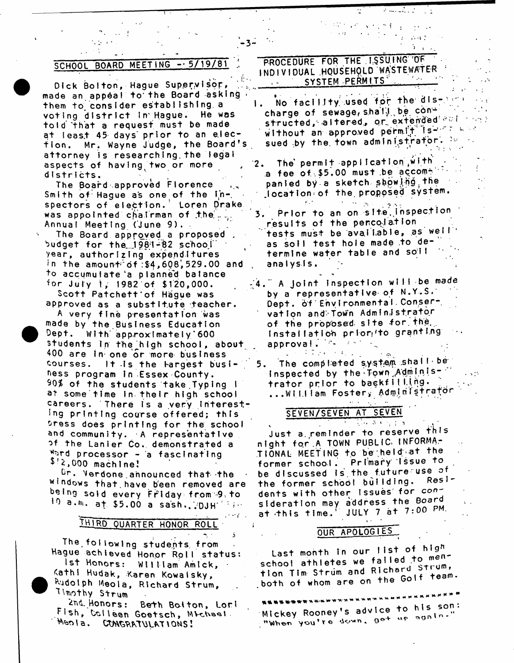### SCHOOL BOARD MEETING  $-5/19/81$

Dick Bolton, Hague Supervisor, made an appeal to the Board asking them to consider establishing a voting district in Hague. He was told 'that a requesf must be made at least 45 days prior to an election. Mr. Wayne Judge, the Board's attorney is researching the legal aspects of having two or more districts.

The Board approved Florence Smith of Hague as one of the Inspectors of election. Loren Drake was appointed chairman of the... Annual Meeting (June 9).

The Board approved a proposed budget for the 1981-82 school Year, authorizing expenditures  $\ln$  the amount of : \$4,608,529.00 and to accumulate a planned balance for July 1, 1982 of \$120,000. Scott Patchett' of Hague was

approved as a substitute teacher. A very fine presentation was made by the.Business Education Dept. With approximately 600 students in the high school, about 400 are in one or more business courses. It is the largest busihess program In Essex County.  $90\%$  of the students take Typing I at some time In-their high school careers. There is a very interesting printing course offered; this bress does printing for the school and community. A representative of the Lanier Co. demonstrated a  $*$ <sub>prd</sub> processor - a fascinating  $$^{12}$ ,000 machine!

Or. Verdone announced that the windows that have been removed are being sold every Friday from 9.to  $10$  a.m. at \$5.00 a sash.. DJH<sup> $+1$ </sup>:

## THIRD QUARTER HONOR ROLL

المعارض المنا ÷ The following students from Hague achieved Honor Roll status: Ist Honors: William Amick, Kathi Hudak, Karen Kowaisky, Rudolph Meola, Richard Strum, *w* T\^othy Strum .

2nd Honors: Beth Bolton, Lori Fish, Colleen Goetsch, Michael Menta. COMGRATULATIONS!

PROCEDURE FOR THE 1.5SUING OF INDIVIDUAL . HOUSEHOLD WASTEWATER SYSTEM PERMITS

 $\alpha$  , and  $\alpha$  , and

No facility used for the dis- $\mathcal{L}_{\rm{max}}$ charge of sewage, shall be constructed, altered, or extended and  $\mathcal{F}^{\mathcal{G}}(\mathcal{F})$  , where without an approved permities  $\mathbb{E}^{\mathcal{A}}$  is  $\mathbb{E}^{\mathcal{A}}$ sued by the town administrator.  $\frac{2\pi}{3}$ 

 $-3.51254 - 2.5$ 

 $\sim 10^{11}$  km  $^{-2}$  $\sim 10^{-10}$ 

- 2. The permit application with a fee of  $$5.00$  must be accoment panied by a sketch show ing the .location of the proposed system.  $\sim f^{-1}$  ,  $\sim$
- **3.** Prior to an on site inspection results of the percolation tests must be available, as well as soll test hole made to determlne water table and soil analysis.
- 4. A joint inspection will be made by a representative of N.Y.S. Dept. of Environmentai.Conservation and Town Administrator of the proposed site for the, Installation priorito granting  $\frac{1}{2}$  approval.  $\frac{1}{2}$  .  $\frac{1}{2}$  .  $\frac{1}{2}$  .  $\frac{1}{2}$  .  $\frac{1}{2}$

<« s

 $\sigma$  -  $\sigma_{\rm eff}$ 5. The completed system shall be Inspected by the Town  $AdmIn$  Istrator prior to backfilling. ... WILLIam Foster, Administrator

# SEVEN/SEVEN AT SEVEN

 $\mathbb{R}^n$  ,  $\sqrt{n}$  ,  $\mathbb{R}^n$  ,  $\sqrt{n}$ **Contractor** Just a. reminder to reserve this night for.A TOWN PUBLIC, INF0RMA.- . TI ONAL M E E T I N G t o b e .he I *4;* at the former school. Primary issue to be d iscussed is the future use of<br>the former school huilding. Resithe former school building. dents with other Issues for consideration may address the Board at  $this$  time,<sup> $i$ </sup> JULY 7 at 7:00 PM.

#### OUR APOLOGIES

Last month in our list of high school athletes we failed to mention Tim Strum and Richard Strum, both of whom are on the Golf team.

Mickey Rooney's advice to his son: when you're down, get up again.'

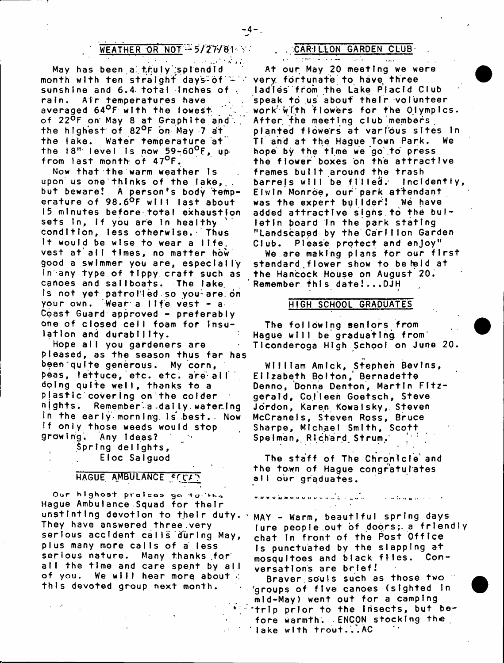#### WEATHER OR NOT  $-5/27/81$

-4-.

May has been a truly splendid month with ten straight days-of  $\mathbb{H}^{+}$ sunshine and  $6.4$  total inches of . rain. Air temperatures have averaged 64<sup>o</sup>F with the lowest of 22<sup>O</sup>F on May 8 at Graphite and the highest of  $82^{\circ}$ F on May 7 at the lake. Water temperature at the 18" level is now  $59-60^{\circ}$ F, up from last month of  $47^{\circ}$  F.

Now that the warm weather is upon us one thinks of the lake, but beware! A person's body temperature of 98.6<sup>o</sup>F will last about 15 minutes before total exhaustion sets In, If you are in healthy cond ition, less otherwise. Thus It would be wise to wear a life, vest at'all times, no matter how good a swimmer you are, especially in any type of tippy craft such as canoes and sailboats. The lake Is not yet patrolled.so you:are on your own. Wear a life vest - a Coast Guard approved - preferably one of closed cell foam for Insulation and durability.

Hope all you gardeners are pleased, as the season thus far has been quite generous. My corn, peas, lettuce, etc. etc. are all doing quite well, thanks to a plastic covering on the colder nights. Remember a daily watering In the early morning is best. Now If only those weeds would stop growing. Any Ideas? •

> Spring delights, Eloc Salguod

#### HAGUE AMBULANCE SCULT

Our highost proisos go to the Hague Ambulance-Squad for their unstinting devotion to their duty. They have answered three.very serious accident calls during May, plus many more calls of a less serious nature. Many thanks for all the time and care spent by all of you. We will hear more about  $\therefore$ this devoted group next month.

# **CAR ILLON GARDEN CLUB**

 $\sim 100$ 

At our May 20 meeting we were very, fortunate to have three ladles' from the Lake Placid Club speak to us about their volunteer work with flowers for the Olympics. After the meeting club members planted flowers at various sites in TI and at the Hague Town Park. We hope by the time we go to press the flower boxes on the attractive frames built around the trash barrels will be filled. Incidently, Elwln Monroe, our'park attendant was the expert builder! We have added attractive signs to the bulletin board in the park stating "Landscaped by the Carillon Garden Club. Please protect and enjoy"

We.are making plans for our first standard flower show to be held at the Hancock House on August 20. Remember this date!...DJH

#### HIGH SCHOOL GRADUATES

The following seniors from Hague will be graduating from Tlconderoga High School on June 20.

William Amlck, Stephen Bevins, Elizabeth Bolton, Bernadette Denno, Donna Denton, Martin Fitzgerald, Colleen Goetsch, Steve Jordon, Karen Kowalsky, Steven McCranels, Steven Ross, Bruce Sharpe, Michael Smith, Scott Spelman, Richard Strum.' ' :

The staff of The Chronicle and the town of Hague congratulates all our graduates.

មមានអេចមុខទេសជាខ្មែរ ដូចច

MAY - Warm, beautiful spring days lure people out of doors; a friendly chat In front of the Post Office Is punctuated by the slapping at mosquitoes and black files. Conversations are brief!

Braver souls such as those two 'groups of five canoes (sighted in mid-May) went out for a camping 'trip prior to the Insects, but before warmth. ENCON stocking the lake with trout...AC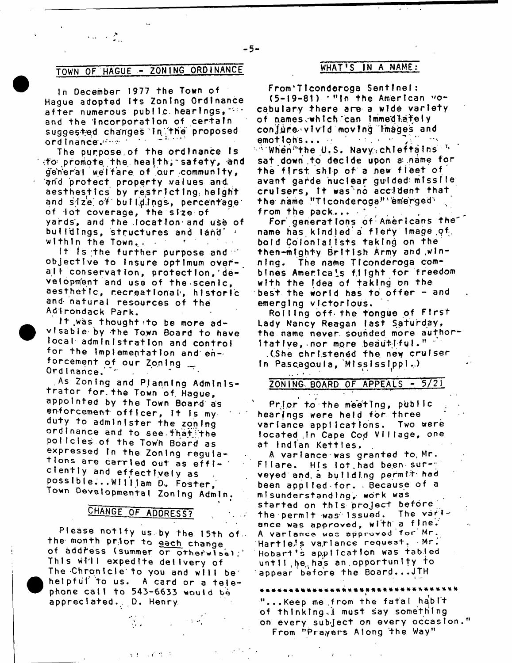#### TOWN OF HAGUE - ZONING ORDINANCE

 $\mathcal{L}_{\text{max}} = \mathcal{L}_{\text{max}}$ 

1.

In December 1977 the Town of Hague adopted Its Zoning Ordinance after numerous public hearings, and the Incorporation of certain suggested changes in the proposed ord inance. First 1

The purpose of the ordinance is ' *\*:f 0s* promote, t h e h e a I t h ; ~ s a f e t y , a n d general welfare of our community, and protect property values and aesthestics by restricting height and size of buildings, percentage' of lot coverage, the size of yards, and the Iocation-and use of bulldings, structures and land"  $+$ within the Town...

It is the further purpose and  $\gamma$ objective to Insure optimum overall conservation, protection, devetopm'ent and use of the scenic, aesthetic, recreational, historic and natural resources of the Adirondack Park.

It was thought to be more advisable by the Town Board to have local administration and control for the Implementation and enforcement of our Zoning \_ Ord Inance.

As Zoning and Planning Administrator for. the Town of Hague, appointed by the Town Board as enforcement officer, it is myduty to administer the zoning ordinance and to see fhat the policies of the Town Board as expressed In the Zoning regula $t$  lons are carried out as efficlently and effectively as possible...William D. Foster, Town Developmental Zoning Admin.

### CHANGE OF ADDRESS?

Please notify us.by the 15th of. the month prior to each change of address (summer or otherwise);' This with expedite delivery of The Chronicle to you and will be hetpful to us. A card or a telephone call to 543-6633 would be appreciated. D. Henry

金玉 医前度 医

#### WHAT'S IN A NAME:

From\*Tlconderoga Sentinel:  $(5 - 19 - 81)$   $\cdot$  "In the American vocabulary there are a wide variety of names which can immediately conjjire\*vivid moving Tmbges and emot i o n s . . . - V , " -•■\*  $^{\circ}$  When  $^{\circ}$  the U.S. Navy.chleftains  $^{\circ}$ sat down to decide upon a name for the first ship of a new fleet of avant garde nuclear guided missile cruisers, it was no accident that the name "Ticonderoga"' emerged' from the pack...

For generations of Americans the name has kindled a flery image of, bold Colonialists taking on the then-mighty British Army and,winning, The name Ticonderoga combines America!? flight for freedom with the Idea of taking on the best the world has to offer - and emerging victorious.

Rolling off the **tongue of Firs**t Lady Nancy Reagan last Saturday, the name never, sounded more author-Itative, nor more beautiful."  $"$ 

.(.She christened the, new cruiser In Pascagoula,  $M$ ississippi.)

#### $ZONING. BOARD OF APPEALS -  $5/21$$

 $\mathcal{L}_\text{c}$  , where  $\mathcal{L}_\text{c}$ 

*t r* Prior to the meeting, public hearings were held for three variance applications. Two were located,In Cape Cod Village, one at Indian Kettles,.

A variance was granted to Mr. Filare. His lot.had been surveyed and a building permit had been applied for. . Because of a misunderstanding, work was started on this project before the permit was issued. The variance was approved, with a fine. A variance was epprcvod for Mr. Hartleys variance request, Mr.' Hobart's application was tabled until ,he, has an opportunity to appear before the Board...JTH

\*\*\*\*\*\*\*\*\*\*\*\*\*\*\*\*\*\*\*\*\*\*\*\*\*\*\*\*\* "...Keep me from the fatal habit of thinking.i must say something on every subject on every occasion From "Prayers Along the Way"

-5-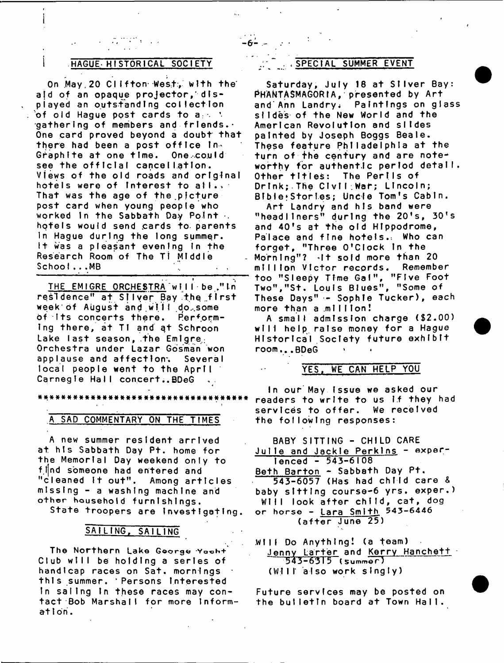#### HAGUE HISTORICAL SOCIETY

On May 20 Clifton West, with the ald of an opaque projector, displayed an outstanding collection  $\therefore$  of old Hague post cards to a  $\therefore$  '. gathering of members and friends.- One card proved beyond a doubt that there had been a post office in-Graphite at one time. One could see the official cancellation. Views of the old roads and original hotels were of Interest to all... That was the age of the.picture post card when young people who worked in the Sabbath Day Point . hotels would send cards to parents In Hague during the long summer. It was a pleasant evening in the Research Room of The Ti Middle School...MB

THE EMIGRE ORCHESTRA will be "In residence" at Silver Bay the *J* Irst week of August and will do some of Its concerts there, Perfor^m-Ing there, at TI and at Schroon Lake last season, the Emigre. Orchestra under Lazar Gosman won applause and affection. Several local people went to the April Carnegie Hall concert..BDeG

\* \* \* \* \* \* \* \* \* \* \* \* \* \* \* \* \* \* \*

#### A SAD COMMENTARY ON THE TIMES

A new summer resident arrived at his Sabbath Day Pt. home for the Memorial Day weekend only to f.ind someone had entered and " cleaned it out". Among articles m issing - a washing machine and other household furnishings. State troopers are Investigating.

#### SAILING, SAILING

The Northern Lake Goorge Yooht Club will be holding a series of handicap races on Sat. mornings this summer. 'Persons Interested In saling in these races may contact Bob Marshall for more Information.

#### ,SPECIAL SUMMER EVENT

Saturday, July 18 at Silver Bay: PHANTASMAGORIA, presented by Art and Ann Landry. Paintings on glass slides of the New World and the American Revolution and slides painted by Joseph Boggs Beale. These feature Philadelphia at the turn of the century and are noteworthy for authentic period detail. Other titles: The Perils of Drink;.The Civil.Wat; Lincoln; Bible Stories; Uncle Tom's Cabin.

Art Landry and his band were "head liners" during the 20's, 30's and 40's at the old Hippodrome, Palace and fine hotels. Who can forget, "Three O'Clock In the Morning"?  $-1$ t soid more than 20 million Victor records. Remember too "Sleepy Time Gal", "Five Foot Two","St. Louis Blues", "Some of These Days" - Sophie Tucker), each more than a million!

A small admission charge (\$2.00) will help raise money for a Hague Historical Society future exhibit room...BDeG

#### YES. WE CAN HELP YOU

In our May Issue we asked our readers to write to us if they had services to offer. We received the following responses:

BABY SITTING - CHILD CARE Julie and Jackle Perkins - exper $l$  enced  $-543 - 6108$ Beth Barton - Sabbath Day Pt. 5 4 3 - 6 0 5 7 (Has had child care *I* baby sitting course-6 yrs. exper.) Will look after child, cat, dog or horse - Lara Smit<u>h</u> 543-6446 (after June 25)

Will Do Anything! (a team) Jenny Larter and Kerry Hanchett 5 4 3 - 6 3 1 5 (sunnner) (Will also work singly)

Future services may be posted on the bulletin board at Town Hall.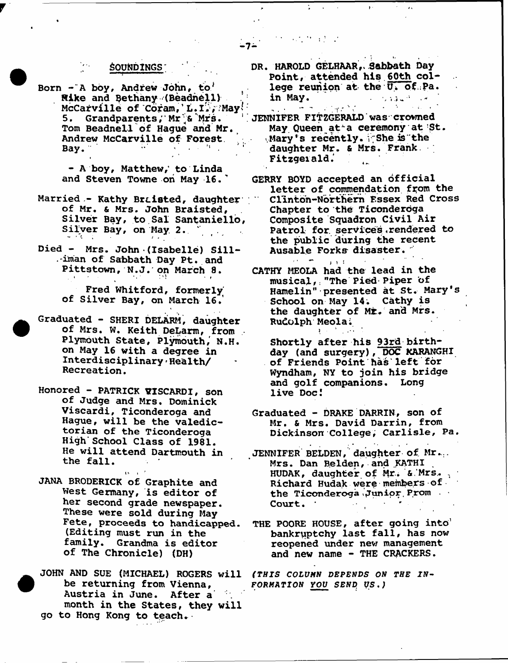#### SOUNDINGS'

Born  $-$  A boy, Andrew John, to' Rike and Bethany (Beadnell) McCarville of ~Cbfam,\L.I/,'*May\** 5. Grandparents, Mr & Mrs. Tom Beadnell of Hague and Mr. Andrew McCarville of Forest.<br>Bay. Bay, ■ ' - ■ '\* •

> - A boy, Matthew/ to Linda and Steven Towne on May 16.<sup>7</sup>

- Married Kathy Braisted, daughter of Mr. & Mrs. John Braisted, Silver Bay, to Sal Santanieilo, Silver Bay, on May 2.
- Died Mrs. John (Isabelle) Sill- .-iiaan of Sabbath Day Pt. and Pittstown, N.J. on March 8.
	- Fred Whitford, formerly of Silver Bay, on March 16.'

Graduated - SHERI DELARM, daughter of Mrs. W. Keith DeLarm, from Plymouth State, Plymouth, N.H. on May 16 with a degree in Interdisciplinary Realth/ Recreation.

Honored - PATRICK VISCARDI, son of Judge and Mrs, Dominick Viscardi, Ticonderoga and Hague, will be the valedictorian of the Ticonderoga High'School Class of 1981. He will attend Dartmouth in the fall.

i\* i

- JANA BRODERICK of Graphite and west Germany, is editor of her second grade newspaper. These were sold during May Fete, proceeds to handicapped. (Editing must run in the family. Grandma is editor of The Chronicle) (DH)
- JOHN AND SUE (MICHAEL) ROGERS will *(THIS COLUMN DEPENDS ON THE IN*be returning from Vienna, Austria in June. After a month in the States, they will go to Hong Kong to teach.

DR. HAROLD GELHAAR,. Sabbath Day Point, attended his 60th college reunion at the U. Of Pa.<br>in May. in May.<br>And the classic contract of

 $\mathcal{L}_{\mathcal{A}}$  , where  $\mathcal{L}_{\mathcal{A}}$  and  $\mathcal{L}_{\mathcal{A}}$ 

المعود الدار

- JENNIFER FITZGERALD was crowned May Queen at a ceremony at St. Mary's recently. She is the daughter Mr. & Mrs. Frank. Fitzgerald.'
- GERRY BOYD accepted an official letter of commendation from the Clinton-Northern Essex Red Cross Chapter to the Ticonderoga Composite Squadron Civil Air Patrol for. services .rendered to the public during the recent Ausable Forks disaster.
- $\mathfrak{g} \rightarrow \mathfrak{g}$  . CATHY MEOLA had the lead in the musical,;"The Pied Piper of Hamelin" presented at St. Mary's School on May 14. Cathy is the daughter of Mr. and Mrs. Rudolph Meola;
	- Shortly after his 93rd birthday (and surgery), DOC KARANGHI of Friends Point has left for Wyndham, NY to join his bridge and golf companions. Long live Doc!
- Graduated DRAKE DARRIN, son of Mr. & Mrs. David Darrin, from Dickinson College, Carlisle, Pa.

 $\sim 10$ 

- JENNIFER BELDEN, daughter of Mr... Mrs. Dan Belden, and KATHI HUDAK, daughter of Mr. & Mrs. Richard Hudak were members of the Ticonderoga Junior Prom ... Court. '
- THE POORE HOUSE, after going into' bankruptchy last fall, has now reopened under new management and new name - THE CRACKERS.

*FORMATION YOU SEND VS.)*